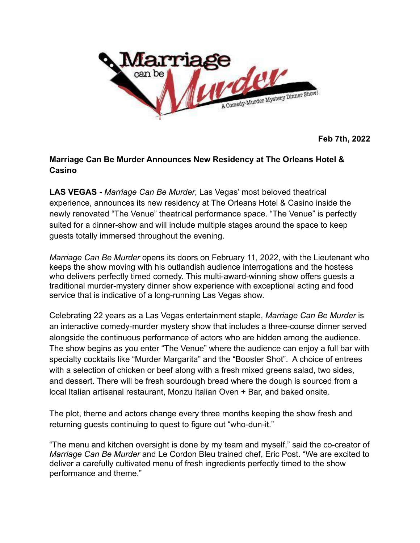

**Feb 7th, 2022**

## **Marriage Can Be Murder Announces New Residency at The Orleans Hotel & Casino**

**LAS VEGAS -** *Marriage Can Be Murder*, Las Vegas' most beloved theatrical experience, announces its new residency at The Orleans Hotel & Casino inside the newly renovated "The Venue" theatrical performance space. "The Venue" is perfectly suited for a dinner-show and will include multiple stages around the space to keep guests totally immersed throughout the evening.

*Marriage Can Be Murder* opens its doors on February 11, 2022, with the Lieutenant who keeps the show moving with his outlandish audience interrogations and the hostess who delivers perfectly timed comedy. This multi-award-winning show offers guests a traditional murder-mystery dinner show experience with exceptional acting and food service that is indicative of a long-running Las Vegas show.

Celebrating 22 years as a Las Vegas entertainment staple, *Marriage Can Be Murder* is an interactive comedy-murder mystery show that includes a three-course dinner served alongside the continuous performance of actors who are hidden among the audience. The show begins as you enter "The Venue" where the audience can enjoy a full bar with specialty cocktails like "Murder Margarita" and the "Booster Shot". A choice of entrees with a selection of chicken or beef along with a fresh mixed greens salad, two sides, and dessert. There will be fresh sourdough bread where the dough is sourced from a local Italian artisanal restaurant, Monzu Italian Oven + Bar, and baked onsite.

The plot, theme and actors change every three months keeping the show fresh and returning guests continuing to quest to figure out "who-dun-it."

"The menu and kitchen oversight is done by my team and myself," said the co-creator of *Marriage Can Be Murder* and Le Cordon Bleu trained chef, Eric Post. "We are excited to deliver a carefully cultivated menu of fresh ingredients perfectly timed to the show performance and theme."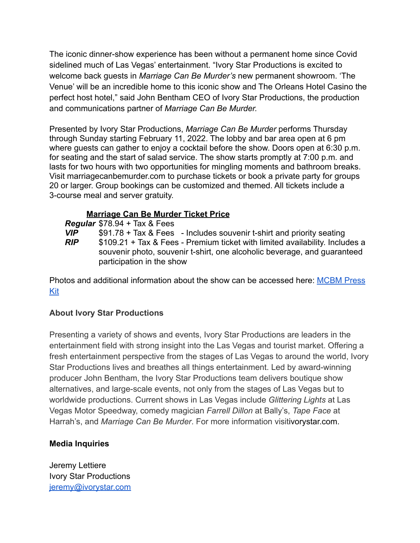The iconic dinner-show experience has been without a permanent home since Covid sidelined much of Las Vegas' entertainment. "Ivory Star Productions is excited to welcome back guests in *Marriage Can Be Murder's* new permanent showroom. 'The Venue' will be an incredible home to this iconic show and The Orleans Hotel Casino the perfect host hotel," said John Bentham CEO of Ivory Star Productions, the production and communications partner of *Marriage Can Be Murder.*

Presented by Ivory Star Productions, *Marriage Can Be Murder* performs Thursday through Sunday starting February 11, 2022. The lobby and bar area open at 6 pm where guests can gather to enjoy a cocktail before the show. Doors open at 6:30 p.m. for seating and the start of salad service. The show starts promptly at 7:00 p.m. and lasts for two hours with two opportunities for mingling moments and bathroom breaks. Visit marriagecanbemurder.com to purchase tickets or book a private party for groups 20 or larger. Group bookings can be customized and themed. All tickets include a 3-course meal and server gratuity.

## **Marriage Can Be Murder Ticket Price**

*Regular* \$78.94 + Tax & Fees

*VIP* \$91.78 + Tax & Fees - Includes souvenir t-shirt and priority seating *RIP* \$109.21 + Tax & Fees - Premium ticket with limited availability. Includes a souvenir photo, souvenir t-shirt, one alcoholic beverage, and guaranteed participation in the show

Photos and additional information about the show can be accessed here: [MCBM Press](https://drive.google.com/drive/folders/1hU3SjAtAQ36AtkY4C3EPbYtAK0RnEQ5A?usp=sharing) [Kit](https://drive.google.com/drive/folders/1hU3SjAtAQ36AtkY4C3EPbYtAK0RnEQ5A?usp=sharing)

## **About Ivory Star Productions**

Presenting a variety of shows and events, Ivory Star Productions are leaders in the entertainment field with strong insight into the Las Vegas and tourist market. Offering a fresh entertainment perspective from the stages of Las Vegas to around the world, Ivory Star Productions lives and breathes all things entertainment. Led by award-winning producer John Bentham, the Ivory Star Productions team delivers boutique show alternatives, and large-scale events, not only from the stages of Las Vegas but to worldwide productions. Current shows in Las Vegas include *Glittering Lights* at Las Vegas Motor Speedway, comedy magician *Farrell Dillon* at Bally's, *Tape Face* at Harrah's, and *Marriage Can Be Murder*. For more information visitivorystar.com.

## **Media Inquiries**

Jeremy Lettiere Ivory Star Productions [jeremy@ivorystar.com](mailto:jeremy@ivorystar.com)